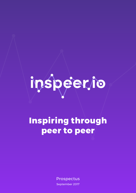# inspeerto

# **Inspiring through peer to peer**

Prospectus September 2017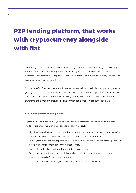# **P2P lending platform, that works with cryptocurrency alongside with fiat**

Combining years of experience in finance industry with successfully operating microlending business, and wide network of partners, Inspeer is going to build a modern P2P lending platform. Our platform will support P2P and P2B lending without intermediaries, working with cryptocurrencies alongside with fiat.

For the benefit of our borrowers and investors, Inspeer will provide high-quality scoring, ensure getting data from Credit Bureau, and control AML/CFT. We are building a platform for the safe, transparent and reliable peer-to-peer lending, aiming to expand it to new markets and to transform it to a modern financial institution with additional services in the long run.

#### **Brief History of P2P Lending Market**

Lightfin.ru was founded in 2016, and have already demonstrated robustness of its business model. There are some highlights regarding Lightfin.ru results:

- Lightfin.ru was the first company in this market that has reduced loan approval time to 1.5 minute due to development of a fully automated approval mechanism.
- In 2017, Lightfin.ru mobile application for iOS and Android were launched for the purpose of providing our customer with lightning-fast service.
- Automatic soft-collection for outdated debts was implemented.
- Due to usage of anti-fraud system, It is possible to identify fraudsters on early stages, sometimes even before application is sent.
- In collaboration with Scorista, unique scoring algorithm was developed.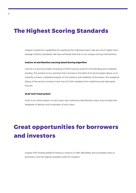## **The Highest Scoring Standards**

Inspeer's prediction capabilities for assessing the individual loans risks are much higher than average industry standards. We have achieved that due to our unique scoring mechanisms:

#### **InsCore: AI and Machine Learning based Scoring Algorithm**

InsCore is a Scoring model consisting of 1000 scoring cards for microlending and collateral lending. The product of our partners from Scorista in the field of AI technologies allows us to instantly conduct a detailed analysis of the solvency and reliability of borrowers. The analytical library of the service contains more than 20 000 variables from traditional and alternative sources.

#### **OLAF Anti-Fraud system**

OLAF is an online system to track users who substitute identification data, that includes the database of devices and computers of such users.

## **Great opportunities for borrowers and investors**

Inspeer P2P lending platform follows a mission to offer affordable and accessible loans to borrowers, and the highest possible profit for investors.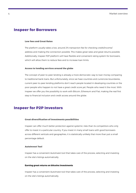## **Inspeer for Borrowers**

#### **Low fees and Great Rates**

The platform usually takes a low, around 2% transaction fee for checking credit/income/ address and making the connection possible. This makes great rates and great returns possible. Additionally, Inspeer P2P platform will have flexible and convenient rating system for borrowers, which will allow them to reduce fees and to increase loan limits.

#### **Access to lending services around the globe**

The concept of peer-to-peer lending is already a more democratic way to loan money comparing to traditional bank loans. But unfortunately, since we have countries and currencies boundaries, current peer-to-peer lending platforms don't reach people located in developing countries or the poor people who happen to not have a great credit score yet. People who need it the most. With Inspeer we offer you the possibility to work with Bitcoin, Ethereum and Fiat, making the real first step to financial inclusion and credit access around the globe.

## **Inspeer for P2P Investors**

#### **Great diversification of investments possibilities**

Inspeer can offer much better protection against systemic risks than its competitors who only offer to invest in a particular country. If you invest in many small loans with good borrowers across different verticals and geographies, it is statistically unlikely that more than just a small percentage default.

#### **AutoInvest Tool**

Inspeer has a convenient AutoInvest tool that takes care of the process, selecting and investing on the site's listings automatically.

#### **Earning great returns on bitcoins investments**

Inspeer has a convenient AutoInvest tool that takes care of the process, selecting and investing on the site's listings automatically.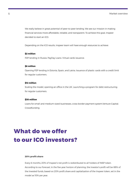We really believe in great potential of peer-to-peer lending. We see our mission in making financial services more affordable, reliable, and transparent. To achieve this goal, Inspeer decided to start an ICO.

Depending on the ICO results, Inspeer team will have enough resources to achieve:

#### **\$2 million**

P2P lending in Russia. PayDay Loans. Virtual cards issuance.

#### **\$6 million**

Opening P2P lending in Estonia, Spain, and Latvia. Issuance of plastic cards with a credit limit for regular customers.

#### **\$12 million**

Scaling the model, opening an office in the UK. Launching a program for debt restructuring for regular customers.

#### **\$30 million**

Loans for small and medium-sized businesses, cross-border payment system.Venture Capital. Crowdfunding

## **What do we offer to our ICO investors?**

#### **20% profit share**

Every 6 months, 20% of Inspeer's net profit is redistributed to all holders of INSP token. According to our forecast, in the five-year horizon of planning, the investor's profit will be 88% of the invested funds, based on 20% profit share and capitalization of the Inspeer token, set in the model as 10% per year.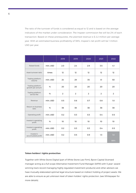The ratio of the turnover of funds is considered as equal to 12 and is based on the average indicators of the market under consideration. The Inspeer commission fee will be 2% of each transaction. Based on these prerequisites, the planned revenue is \$ 2.2 million per average year. With an estimated business profitability of 38%, Inspeer's net profit will be 1 million USD per year.

|                                      |          | 2018           | 2019           | 2020           | 2021             | 2022           |
|--------------------------------------|----------|----------------|----------------|----------------|------------------|----------------|
| Raised funds                         | mln, USD | 2.0            | 2.4            | 2.9            | 3.5              | 4.1            |
| Asset turnover ratio                 | times    | 12             | 12             | 12             | 12               | 12             |
| Trading platform<br>volume           | mln, USD | 24             | 29             | 35             | 41               | 50             |
| Trading platform<br>growth per annum | %        | 20             | 20             | 20             | 20               | 20             |
| Trading platform<br>service fee      | %        | $\overline{2}$ | $\overline{2}$ | $\overline{2}$ | $\overline{2}$   | $\overline{2}$ |
| Revenue                              | mln, USD | 0.5            | 0.6            | 0.7            | 0.8              | 1.0            |
| Return on business<br>ratio          | %        | 38             | 38             | 38             | 38               | 38             |
| Operating profit                     | mln, USD | 0.2            | 0.3            | 0.3            | 0.4              | 0.5            |
| Investor's operating<br>profit       | %        | 10             | 10             | 10             | 10 <sup>10</sup> | 10             |
| Investor's operating<br>profit       | mln, USD | 0.2            | 0.3            | 0.3            | 0.4              | 0.5            |
| Investor's<br>accumulated profit     | mln, USD | 0.2            | 0.5            | 0.9            | 1.3              | 1.8            |
|                                      |          |                |                |                |                  | 88%            |

#### **Token holders' rights protection**

Together with White Stone Digital (part of White Stone Law Firm), Byron Capital (licensed manager acting as a full scope Alternative Investment Fund Manager (AIFM) with 5 year+ award winning track record managing highly regulated investment products) and other advisors we have mutually elaborated optimal legal structure based on indirect holding of project assets. We are able to ensure as-yet unknown level of token holders' rights protection. (see Whitepaper for more details).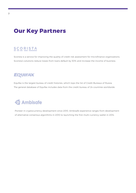## **Our Key Partners**

## SCORISTA

Scorista is a service for improving the quality of credit risk assessment for microfinance organizations. Scorista's solutions reduce losses from loans default by 30% and increase the income of business.

## **EQUIFAX**

Equifax is the largest bureau of credit histories, which tops the list of Credit Bureaus of Russia. The general database of Equifax includes data from the credit bureau of 24 countries worldwide.



Pioneer in cryptocurrency development since 2010. Ambisafe experience ranges from development of alternative consensus algorithms in 2010 to launching the first multi-currency wallet in 2014.